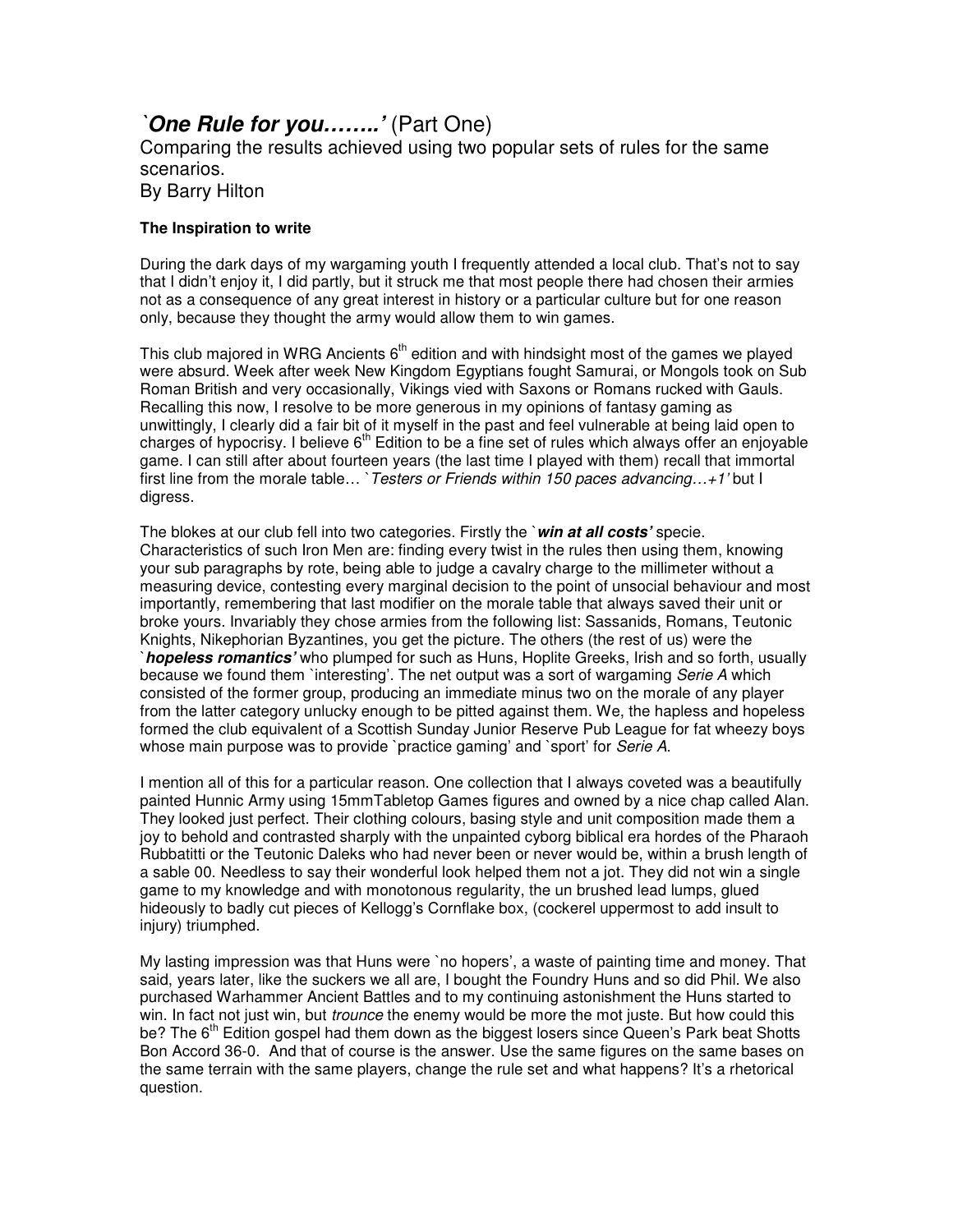## *`One Rule for you……..'* (Part One)

Comparing the results achieved using two popular sets of rules for the same scenarios.

By Barry Hilton

## **The Inspiration to write**

During the dark days of my wargaming youth I frequently attended a local club. That's not to say that I didn't enjoy it, I did partly, but it struck me that most people there had chosen their armies not as a consequence of any great interest in history or a particular culture but for one reason only, because they thought the army would allow them to win games.

This club majored in WRG Ancients  $6<sup>th</sup>$  edition and with hindsight most of the games we played were absurd. Week after week New Kingdom Egyptians fought Samurai, or Mongols took on Sub Roman British and very occasionally, Vikings vied with Saxons or Romans rucked with Gauls. Recalling this now, I resolve to be more generous in my opinions of fantasy gaming as unwittingly, I clearly did a fair bit of it myself in the past and feel vulnerable at being laid open to charges of hypocrisy. I believe  $6<sup>th</sup>$  Edition to be a fine set of rules which always offer an enjoyable game. I can still after about fourteen years (the last time I played with them) recall that immortal first line from the morale table… `*Testers or Friends within 150 paces advancing…+1'* but I digress.

The blokes at our club fell into two categories. Firstly the `*win at all costs'* specie. Characteristics of such Iron Men are: finding every twist in the rules then using them, knowing your sub paragraphs by rote, being able to judge a cavalry charge to the millimeter without a measuring device, contesting every marginal decision to the point of unsocial behaviour and most importantly, remembering that last modifier on the morale table that always saved their unit or broke yours. Invariably they chose armies from the following list: Sassanids, Romans, Teutonic Knights, Nikephorian Byzantines, you get the picture. The others (the rest of us) were the `*hopeless romantics'* who plumped for such as Huns, Hoplite Greeks, Irish and so forth, usually because we found them `interesting'. The net output was a sort of wargaming *Serie A* which consisted of the former group, producing an immediate minus two on the morale of any player from the latter category unlucky enough to be pitted against them. We, the hapless and hopeless formed the club equivalent of a Scottish Sunday Junior Reserve Pub League for fat wheezy boys whose main purpose was to provide `practice gaming' and `sport' for *Serie A*.

I mention all of this for a particular reason. One collection that I always coveted was a beautifully painted Hunnic Army using 15mmTabletop Games figures and owned by a nice chap called Alan. They looked just perfect. Their clothing colours, basing style and unit composition made them a joy to behold and contrasted sharply with the unpainted cyborg biblical era hordes of the Pharaoh Rubbatitti or the Teutonic Daleks who had never been or never would be, within a brush length of a sable 00. Needless to say their wonderful look helped them not a jot. They did not win a single game to my knowledge and with monotonous regularity, the un brushed lead lumps, glued hideously to badly cut pieces of Kellogg's Cornflake box, (cockerel uppermost to add insult to injury) triumphed.

My lasting impression was that Huns were `no hopers', a waste of painting time and money. That said, years later, like the suckers we all are, I bought the Foundry Huns and so did Phil. We also purchased Warhammer Ancient Battles and to my continuing astonishment the Huns started to win. In fact not just win, but *trounce* the enemy would be more the mot juste. But how could this be? The 6<sup>th</sup> Edition gospel had them down as the biggest losers since Queen's Park beat Shotts Bon Accord 36-0. And that of course is the answer. Use the same figures on the same bases on the same terrain with the same players, change the rule set and what happens? It's a rhetorical question.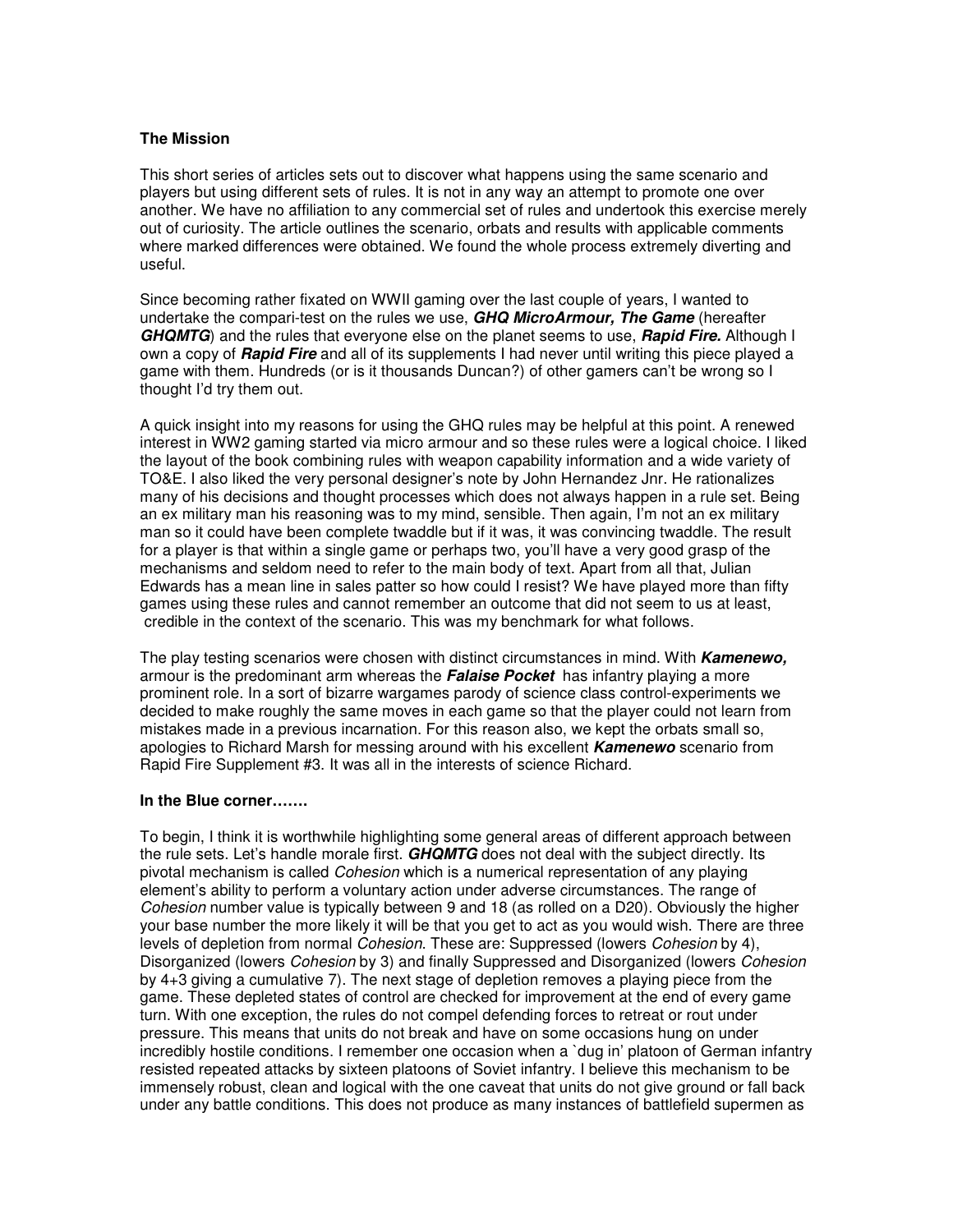## **The Mission**

This short series of articles sets out to discover what happens using the same scenario and players but using different sets of rules. It is not in any way an attempt to promote one over another. We have no affiliation to any commercial set of rules and undertook this exercise merely out of curiosity. The article outlines the scenario, orbats and results with applicable comments where marked differences were obtained. We found the whole process extremely diverting and useful.

Since becoming rather fixated on WWII gaming over the last couple of years, I wanted to undertake the compari-test on the rules we use, *GHQ MicroArmour, The Game* (hereafter *GHQMTG*) and the rules that everyone else on the planet seems to use, *Rapid Fire.* Although I own a copy of *Rapid Fire* and all of its supplements I had never until writing this piece played a game with them. Hundreds (or is it thousands Duncan?) of other gamers can't be wrong so I thought I'd try them out.

A quick insight into my reasons for using the GHQ rules may be helpful at this point. A renewed interest in WW2 gaming started via micro armour and so these rules were a logical choice. I liked the layout of the book combining rules with weapon capability information and a wide variety of TO&E. I also liked the very personal designer's note by John Hernandez Jnr. He rationalizes many of his decisions and thought processes which does not always happen in a rule set. Being an ex military man his reasoning was to my mind, sensible. Then again, I'm not an ex military man so it could have been complete twaddle but if it was, it was convincing twaddle. The result for a player is that within a single game or perhaps two, you'll have a very good grasp of the mechanisms and seldom need to refer to the main body of text. Apart from all that, Julian Edwards has a mean line in sales patter so how could I resist? We have played more than fifty games using these rules and cannot remember an outcome that did not seem to us at least, credible in the context of the scenario. This was my benchmark for what follows.

The play testing scenarios were chosen with distinct circumstances in mind. With *Kamenewo,* armour is the predominant arm whereas the *Falaise Pocket* has infantry playing a more prominent role. In a sort of bizarre wargames parody of science class control-experiments we decided to make roughly the same moves in each game so that the player could not learn from mistakes made in a previous incarnation. For this reason also, we kept the orbats small so, apologies to Richard Marsh for messing around with his excellent *Kamenewo* scenario from Rapid Fire Supplement #3. It was all in the interests of science Richard.

## **In the Blue corner…….**

To begin, I think it is worthwhile highlighting some general areas of different approach between the rule sets. Let's handle morale first. *GHQMTG* does not deal with the subject directly. Its pivotal mechanism is called *Cohesion* which is a numerical representation of any playing element's ability to perform a voluntary action under adverse circumstances. The range of *Cohesion* number value is typically between 9 and 18 (as rolled on a D20). Obviously the higher your base number the more likely it will be that you get to act as you would wish. There are three levels of depletion from normal *Cohesion*. These are: Suppressed (lowers *Cohesion* by 4), Disorganized (lowers *Cohesion* by 3) and finally Suppressed and Disorganized (lowers *Cohesion* by 4+3 giving a cumulative 7). The next stage of depletion removes a playing piece from the game. These depleted states of control are checked for improvement at the end of every game turn. With one exception, the rules do not compel defending forces to retreat or rout under pressure. This means that units do not break and have on some occasions hung on under incredibly hostile conditions. I remember one occasion when a `dug in' platoon of German infantry resisted repeated attacks by sixteen platoons of Soviet infantry. I believe this mechanism to be immensely robust, clean and logical with the one caveat that units do not give ground or fall back under any battle conditions. This does not produce as many instances of battlefield supermen as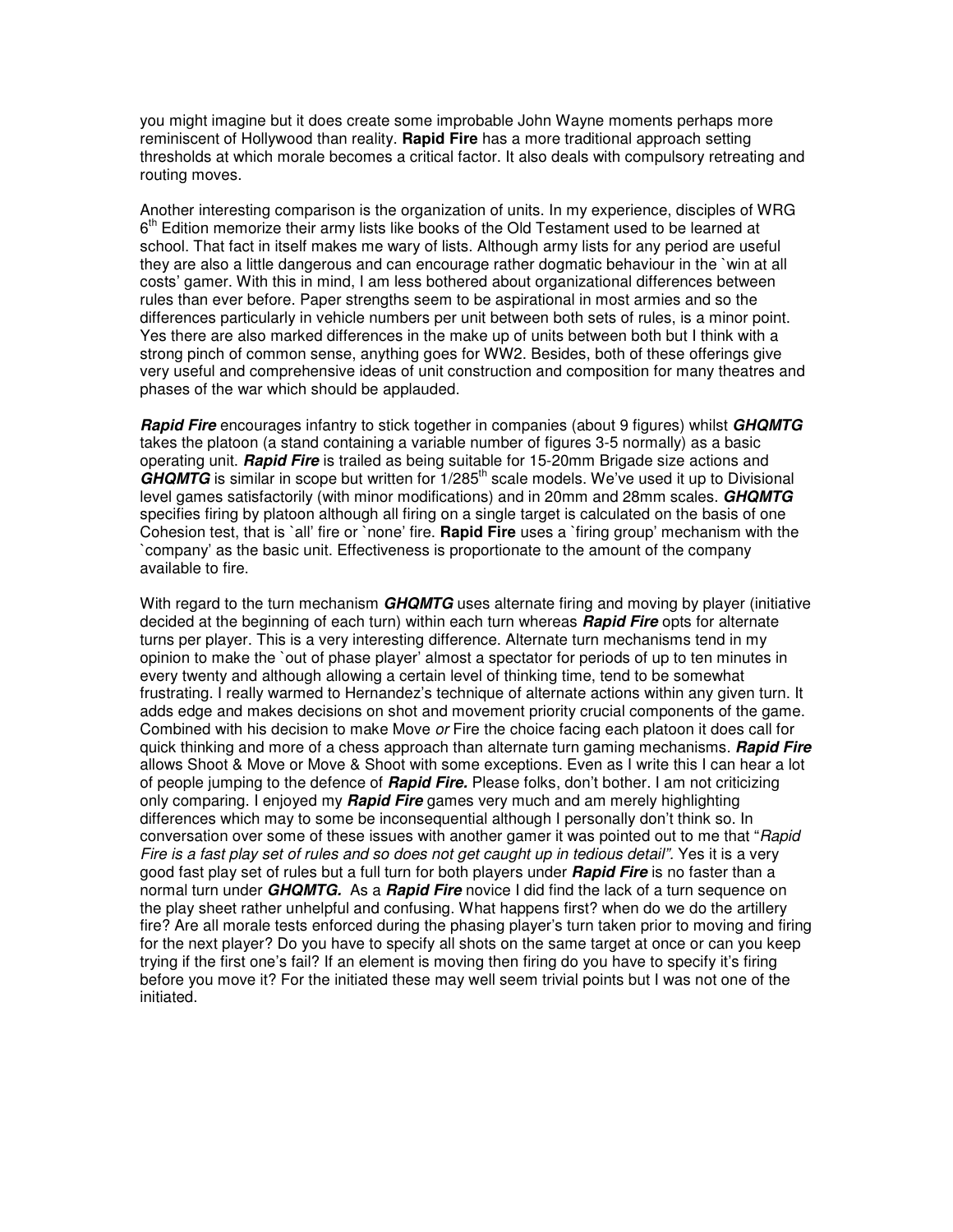you might imagine but it does create some improbable John Wayne moments perhaps more reminiscent of Hollywood than reality. **Rapid Fire** has a more traditional approach setting thresholds at which morale becomes a critical factor. It also deals with compulsory retreating and routing moves.

Another interesting comparison is the organization of units. In my experience, disciples of WRG 6<sup>th</sup> Edition memorize their army lists like books of the Old Testament used to be learned at school. That fact in itself makes me wary of lists. Although army lists for any period are useful they are also a little dangerous and can encourage rather dogmatic behaviour in the `win at all costs' gamer. With this in mind, I am less bothered about organizational differences between rules than ever before. Paper strengths seem to be aspirational in most armies and so the differences particularly in vehicle numbers per unit between both sets of rules, is a minor point. Yes there are also marked differences in the make up of units between both but I think with a strong pinch of common sense, anything goes for WW2. Besides, both of these offerings give very useful and comprehensive ideas of unit construction and composition for many theatres and phases of the war which should be applauded.

*Rapid Fire* encourages infantry to stick together in companies (about 9 figures) whilst *GHQMTG* takes the platoon (a stand containing a variable number of figures 3-5 normally) as a basic operating unit. *Rapid Fire* is trailed as being suitable for 15-20mm Brigade size actions and GHQMTG is similar in scope but written for 1/285<sup>th</sup> scale models. We've used it up to Divisional level games satisfactorily (with minor modifications) and in 20mm and 28mm scales. *GHQMTG* specifies firing by platoon although all firing on a single target is calculated on the basis of one Cohesion test, that is `all' fire or `none' fire. **Rapid Fire** uses a `firing group' mechanism with the `company' as the basic unit. Effectiveness is proportionate to the amount of the company available to fire.

With regard to the turn mechanism *GHQMTG* uses alternate firing and moving by player (initiative decided at the beginning of each turn) within each turn whereas *Rapid Fire* opts for alternate turns per player. This is a very interesting difference. Alternate turn mechanisms tend in my opinion to make the `out of phase player' almost a spectator for periods of up to ten minutes in every twenty and although allowing a certain level of thinking time, tend to be somewhat frustrating. I really warmed to Hernandez's technique of alternate actions within any given turn. It adds edge and makes decisions on shot and movement priority crucial components of the game. Combined with his decision to make Move *or* Fire the choice facing each platoon it does call for quick thinking and more of a chess approach than alternate turn gaming mechanisms. *Rapid Fire* allows Shoot & Move or Move & Shoot with some exceptions. Even as I write this I can hear a lot of people jumping to the defence of *Rapid Fire.* Please folks, don't bother. I am not criticizing only comparing. I enjoyed my *Rapid Fire* games very much and am merely highlighting differences which may to some be inconsequential although I personally don't think so. In conversation over some of these issues with another gamer it was pointed out to me that "*Rapid* Fire is a fast play set of rules and so does not get caught up in tedious detail". Yes it is a very good fast play set of rules but a full turn for both players under *Rapid Fire* is no faster than a normal turn under *GHQMTG.* As a *Rapid Fire* novice I did find the lack of a turn sequence on the play sheet rather unhelpful and confusing. What happens first? when do we do the artillery fire? Are all morale tests enforced during the phasing player's turn taken prior to moving and firing for the next player? Do you have to specify all shots on the same target at once or can you keep trying if the first one's fail? If an element is moving then firing do you have to specify it's firing before you move it? For the initiated these may well seem trivial points but I was not one of the initiated.